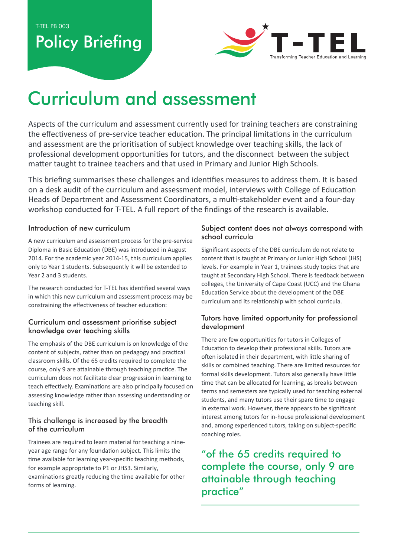T-TEL PB 003

## **Policy Briefing**



# Curriculum and assessment

Aspects of the curriculum and assessment currently used for training teachers are constraining the effectiveness of pre-service teacher education. The principal limitations in the curriculum and assessment are the prioritisation of subject knowledge over teaching skills, the lack of professional development opportunities for tutors, and the disconnect between the subject matter taught to trainee teachers and that used in Primary and Junior High Schools.

This briefing summarises these challenges and identifies measures to address them. It is based on a desk audit of the curriculum and assessment model, interviews with College of Education Heads of Department and Assessment Coordinators, a multi-stakeholder event and a four-day workshop conducted for T-TEL. A full report of the findings of the research is available.

#### Introduction of new curriculum

A new curriculum and assessment process for the pre-service Diploma in Basic Education (DBE) was introduced in August 2014. For the academic year 2014-15, this curriculum applies only to Year 1 students. Subsequently it will be extended to Year 2 and 3 students.

The research conducted for T-TEL has identified several ways in which this new curriculum and assessment process may be constraining the effectiveness of teacher education:

#### Curriculum and assessment prioritise subject knowledge over teaching skills

The emphasis of the DBE curriculum is on knowledge of the content of subjects, rather than on pedagogy and practical classroom skills. Of the 65 credits required to complete the course, only 9 are attainable through teaching practice. The curriculum does not facilitate clear progression in learning to teach effectively. Examinations are also principally focused on assessing knowledge rather than assessing understanding or teaching skill.

#### This challenge is increased by the breadth of the curriculum

Trainees are required to learn material for teaching a nineyear age range for any foundation subject. This limits the time available for learning year-specific teaching methods, for example appropriate to P1 or JHS3. Similarly, examinations greatly reducing the time available for other forms of learning.

#### Subject content does not always correspond with school curricula

Significant aspects of the DBE curriculum do not relate to content that is taught at Primary or Junior High School (JHS) levels. For example in Year 1, trainees study topics that are taught at Secondary High School. There is feedback between colleges, the University of Cape Coast (UCC) and the Ghana Education Service about the development of the DBE curriculum and its relationship with school curricula.

#### Tutors have limited opportunity for professional development

There are few opportunities for tutors in Colleges of Education to develop their professional skills. Tutors are often isolated in their department, with little sharing of skills or combined teaching. There are limited resources for formal skills development. Tutors also generally have little time that can be allocated for learning, as breaks between terms and semesters are typically used for teaching external students, and many tutors use their spare time to engage in external work. However, there appears to be significant interest among tutors for in-house professional development and, among experienced tutors, taking on subject-specific coaching roles.

"of the 65 credits required to complete the course, only 9 are attainable through teaching practice"